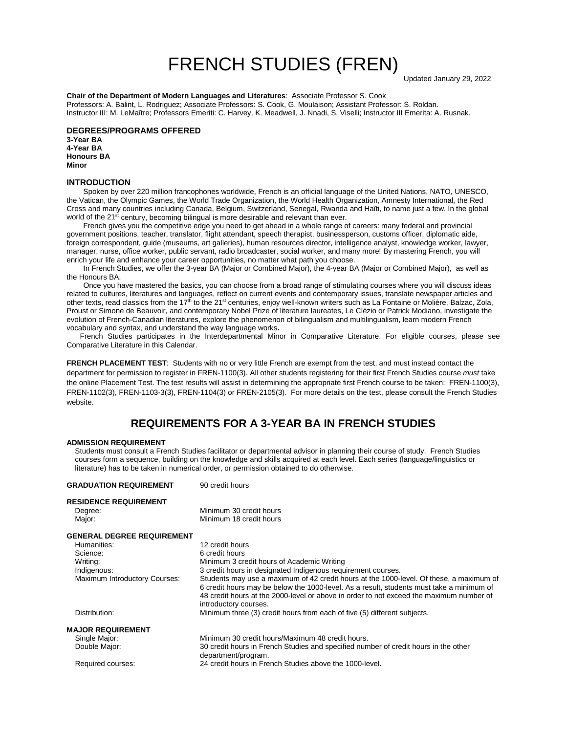# FRENCH STUDIES (FREN)

**Chair of the Department of Modern Languages and Literatures**: Associate Professor S. Cook Professors: A. Balint, L. Rodriguez; Associate Professors: S. Cook, G. Moulaison; Assistant Professor: S. Roldan. Instructor III: M. LeMaître; Professors Emeriti: C. Harvey, K. Meadwell, J. Nnadi, S. Viselli; Instructor III Emerita: A. Rusnak.

## **DEGREES/PROGRAMS OFFERED**

**3-Year BA 4-Year BA Honours BA Minor**

### **INTRODUCTION**

Spoken by over 220 million francophones worldwide, French is an official language of the United Nations, NATO, UNESCO, the Vatican, the Olympic Games, the World Trade Organization, the World Health Organization, Amnesty International, the Red Cross and many countries including Canada, Belgium, Switzerland, Senegal, Rwanda and Haïti, to name just a few. In the global world of the 21<sup>st</sup> century, becoming bilingual is more desirable and relevant than ever.

French gives you the competitive edge you need to get ahead in a whole range of careers: many federal and provincial government positions, teacher, translator, flight attendant, speech therapist, businessperson, customs officer, diplomatic aide, foreign correspondent, guide (museums, art galleries), human resources director, intelligence analyst, knowledge worker, lawyer, manager, nurse, office worker, public servant, radio broadcaster, social worker, and many more! By mastering French, you will enrich your life and enhance your career opportunities, no matter what path you choose.

In French Studies, we offer the 3-year BA (Major or Combined Major), the 4-year BA (Major or Combined Major), as well as the Honours BA.

Once you have mastered the basics, you can choose from a broad range of stimulating courses where you will discuss ideas related to cultures, literatures and languages, reflect on current events and contemporary issues, translate newspaper articles and other texts, read classics from the  $17<sup>th</sup>$  to the  $21<sup>st</sup>$  centuries, enjoy well-known writers such as La Fontaine or Molière, Balzac, Zola, Proust or Simone de Beauvoir, and contemporary Nobel Prize of literature laureates, Le Clézio or Patrick Modiano, investigate the evolution of French-Canadian literatures, explore the phenomenon of bilingualism and multilingualism, learn modern French vocabulary and syntax, and understand the way language works**.** 

French Studies participates in the Interdepartmental Minor in Comparative Literature. For eligible courses, please see Comparative Literature in this Calendar.

**FRENCH PLACEMENT TEST**: Students with no or very little French are exempt from the test, and must instead contact the department for permission to register in FREN-1100(3). All other students registering for their first French Studies course *must* take the online Placement Test. The test results will assist in determining the appropriate first French course to be taken: FREN-1100(3), FREN-1102(3), FREN-1103-3(3), FREN-1104(3) or FREN-2105(3). For more details on the test, please consult the French Studies website.

# **REQUIREMENTS FOR A 3-YEAR BA IN FRENCH STUDIES**

#### **ADMISSION REQUIREMENT**

Students must consult a French Studies facilitator or departmental advisor in planning their course of study. French Studies courses form a sequence, building on the knowledge and skills acquired at each level. Each series (language/linguistics or literature) has to be taken in numerical order, or permission obtained to do otherwise.

| <b>GRADUATION REQUIREMENT</b>                     | 90 credit hours                                                                                                                                                                                                                                                                                         |
|---------------------------------------------------|---------------------------------------------------------------------------------------------------------------------------------------------------------------------------------------------------------------------------------------------------------------------------------------------------------|
| <b>RESIDENCE REQUIREMENT</b><br>Degree:<br>Major: | Minimum 30 credit hours<br>Minimum 18 credit hours                                                                                                                                                                                                                                                      |
| <b>GENERAL DEGREE REQUIREMENT</b>                 |                                                                                                                                                                                                                                                                                                         |
| Humanities:                                       | 12 credit hours                                                                                                                                                                                                                                                                                         |
| Science:                                          | 6 credit hours                                                                                                                                                                                                                                                                                          |
| Writing:                                          | Minimum 3 credit hours of Academic Writing                                                                                                                                                                                                                                                              |
| Indigenous:                                       | 3 credit hours in designated Indigenous requirement courses.                                                                                                                                                                                                                                            |
| Maximum Introductory Courses:                     | Students may use a maximum of 42 credit hours at the 1000-level. Of these, a maximum of<br>6 credit hours may be below the 1000-level. As a result, students must take a minimum of<br>48 credit hours at the 2000-level or above in order to not exceed the maximum number of<br>introductory courses. |
| Distribution:                                     | Minimum three (3) credit hours from each of five (5) different subjects.                                                                                                                                                                                                                                |
| <b>MAJOR REQUIREMENT</b>                          |                                                                                                                                                                                                                                                                                                         |
| Single Major:                                     | Minimum 30 credit hours/Maximum 48 credit hours.                                                                                                                                                                                                                                                        |
| Double Major:                                     | 30 credit hours in French Studies and specified number of credit hours in the other<br>department/program.                                                                                                                                                                                              |
| Required courses:                                 | 24 credit hours in French Studies above the 1000-level.                                                                                                                                                                                                                                                 |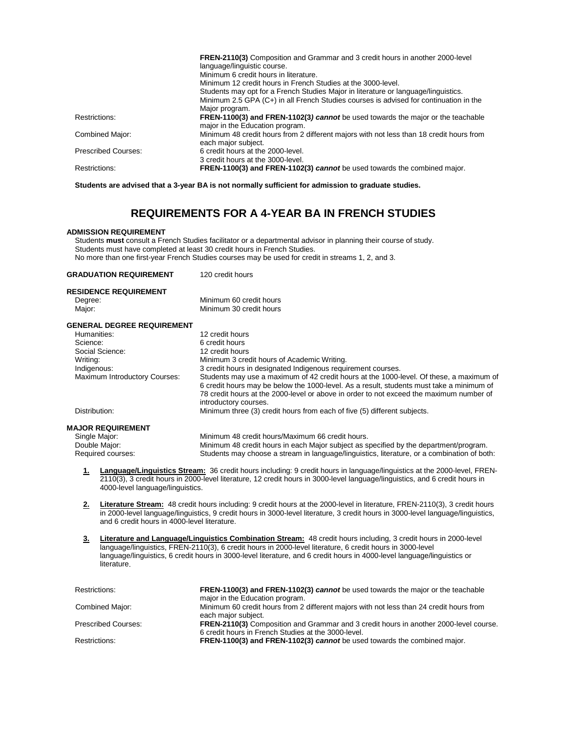|                            | <b>FREN-2110(3)</b> Composition and Grammar and 3 credit hours in another 2000-level    |
|----------------------------|-----------------------------------------------------------------------------------------|
|                            | language/linguistic course.                                                             |
|                            | Minimum 6 credit hours in literature.                                                   |
|                            | Minimum 12 credit hours in French Studies at the 3000-level.                            |
|                            | Students may opt for a French Studies Major in literature or language/linguistics.      |
|                            | Minimum 2.5 GPA (C+) in all French Studies courses is advised for continuation in the   |
|                            | Major program.                                                                          |
| Restrictions:              | <b>FREN-1100(3) and FREN-1102(3) cannot</b> be used towards the major or the teachable  |
|                            | major in the Education program.                                                         |
| Combined Major:            | Minimum 48 credit hours from 2 different majors with not less than 18 credit hours from |
|                            | each major subject.                                                                     |
| <b>Prescribed Courses:</b> | 6 credit hours at the 2000-level.                                                       |
|                            | 3 credit hours at the 3000-level.                                                       |
| Restrictions:              | <b>FREN-1100(3) and FREN-1102(3) cannot</b> be used towards the combined major.         |
|                            |                                                                                         |

**Students are advised that a 3-year BA is not normally sufficient for admission to graduate studies.**

# **REQUIREMENTS FOR A 4-YEAR BA IN FRENCH STUDIES**

## **ADMISSION REQUIREMENT**

Students **must** consult a French Studies facilitator or a departmental advisor in planning their course of study. Students must have completed at least 30 credit hours in French Studies. No more than one first-year French Studies courses may be used for credit in streams 1, 2, and 3.

|                                              | <b>GRADUATION REQUIREMENT</b>                                                                                                                                                                                                                                                                                                                                          | 120 credit hours                                                                                                                                                                                                                                                                                                                                                                     |
|----------------------------------------------|------------------------------------------------------------------------------------------------------------------------------------------------------------------------------------------------------------------------------------------------------------------------------------------------------------------------------------------------------------------------|--------------------------------------------------------------------------------------------------------------------------------------------------------------------------------------------------------------------------------------------------------------------------------------------------------------------------------------------------------------------------------------|
| Degree:<br>Major:                            | <b>RESIDENCE REQUIREMENT</b>                                                                                                                                                                                                                                                                                                                                           | Minimum 60 credit hours<br>Minimum 30 credit hours                                                                                                                                                                                                                                                                                                                                   |
|                                              |                                                                                                                                                                                                                                                                                                                                                                        |                                                                                                                                                                                                                                                                                                                                                                                      |
|                                              | <b>GENERAL DEGREE REQUIREMENT</b>                                                                                                                                                                                                                                                                                                                                      |                                                                                                                                                                                                                                                                                                                                                                                      |
| Humanities:                                  |                                                                                                                                                                                                                                                                                                                                                                        | 12 credit hours                                                                                                                                                                                                                                                                                                                                                                      |
| Science:                                     | Social Science:                                                                                                                                                                                                                                                                                                                                                        | 6 credit hours<br>12 credit hours                                                                                                                                                                                                                                                                                                                                                    |
| Writing:                                     |                                                                                                                                                                                                                                                                                                                                                                        | Minimum 3 credit hours of Academic Writing.                                                                                                                                                                                                                                                                                                                                          |
|                                              |                                                                                                                                                                                                                                                                                                                                                                        | 3 credit hours in designated Indigenous requirement courses.                                                                                                                                                                                                                                                                                                                         |
| Indigenous:<br>Maximum Introductory Courses: |                                                                                                                                                                                                                                                                                                                                                                        | Students may use a maximum of 42 credit hours at the 1000-level. Of these, a maximum of<br>6 credit hours may be below the 1000-level. As a result, students must take a minimum of<br>78 credit hours at the 2000-level or above in order to not exceed the maximum number of<br>introductory courses.                                                                              |
| Distribution:                                |                                                                                                                                                                                                                                                                                                                                                                        | Minimum three (3) credit hours from each of five (5) different subjects.                                                                                                                                                                                                                                                                                                             |
|                                              | <b>MAJOR REQUIREMENT</b>                                                                                                                                                                                                                                                                                                                                               |                                                                                                                                                                                                                                                                                                                                                                                      |
|                                              | Single Major:                                                                                                                                                                                                                                                                                                                                                          | Minimum 48 credit hours/Maximum 66 credit hours.                                                                                                                                                                                                                                                                                                                                     |
|                                              | Double Major:                                                                                                                                                                                                                                                                                                                                                          | Minimum 48 credit hours in each Major subject as specified by the department/program.                                                                                                                                                                                                                                                                                                |
|                                              | Required courses:                                                                                                                                                                                                                                                                                                                                                      | Students may choose a stream in language/linguistics, literature, or a combination of both:                                                                                                                                                                                                                                                                                          |
| 1.<br>2.                                     | 4000-level language/linguistics.                                                                                                                                                                                                                                                                                                                                       | Language/Linguistics Stream: 36 credit hours including: 9 credit hours in language/linguistics at the 2000-level, FREN-<br>2110(3), 3 credit hours in 2000-level literature, 12 credit hours in 3000-level language/linguistics, and 6 credit hours in<br>Literature Stream: 48 credit hours including: 9 credit hours at the 2000-level in literature, FREN-2110(3), 3 credit hours |
|                                              | and 6 credit hours in 4000-level literature.                                                                                                                                                                                                                                                                                                                           | in 2000-level language/linguistics, 9 credit hours in 3000-level literature, 3 credit hours in 3000-level language/linguistics,                                                                                                                                                                                                                                                      |
| 3 <sub>1</sub>                               | Literature and Language/Linguistics Combination Stream: 48 credit hours including, 3 credit hours in 2000-level<br>language/linguistics, FREN-2110(3), 6 credit hours in 2000-level literature, 6 credit hours in 3000-level<br>language/linguistics, 6 credit hours in 3000-level literature, and 6 credit hours in 4000-level language/linguistics or<br>literature. |                                                                                                                                                                                                                                                                                                                                                                                      |
| Restrictions:                                |                                                                                                                                                                                                                                                                                                                                                                        | FREN-1100(3) and FREN-1102(3) cannot be used towards the major or the teachable<br>major in the Education program.                                                                                                                                                                                                                                                                   |
|                                              | Combined Major:                                                                                                                                                                                                                                                                                                                                                        | Minimum 60 credit hours from 2 different majors with not less than 24 credit hours from<br>each major subject.                                                                                                                                                                                                                                                                       |
| <b>Prescribed Courses:</b>                   |                                                                                                                                                                                                                                                                                                                                                                        | FREN-2110(3) Composition and Grammar and 3 credit hours in another 2000-level course.                                                                                                                                                                                                                                                                                                |

Restrictions: **FREN-1100(3) and FREN-1102(3)** *cannot* be used towards the combined major.

6 credit hours in French Studies at the 3000-level.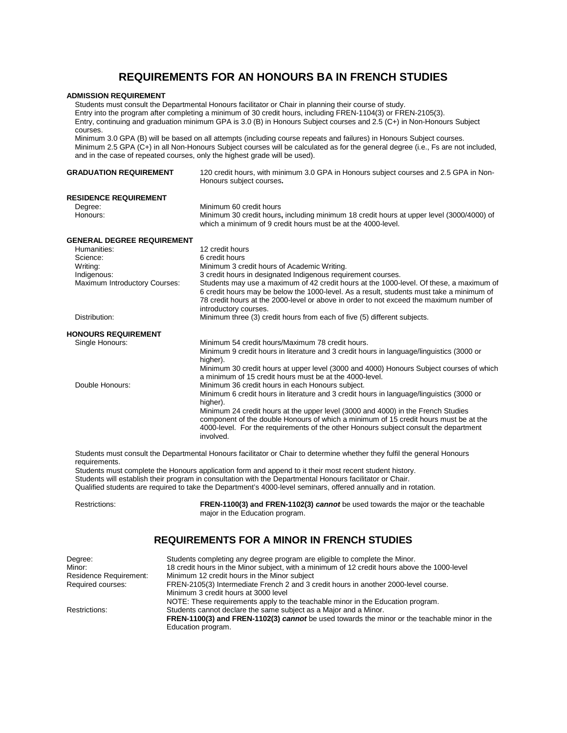# **REQUIREMENTS FOR AN HONOURS BA IN FRENCH STUDIES**

#### **ADMISSION REQUIREMENT**

Students must consult the Departmental Honours facilitator or Chair in planning their course of study. Entry into the program after completing a minimum of 30 credit hours, including FREN-1104(3) or FREN-2105(3). Entry, continuing and graduation minimum GPA is 3.0 (B) in Honours Subject courses and 2.5 (C+) in Non-Honours Subject courses. Minimum 3.0 GPA (B) will be based on all attempts (including course repeats and failures) in Honours Subject courses. Minimum 2.5 GPA (C+) in all Non-Honours Subject courses will be calculated as for the general degree (i.e., Fs are not included, and in the case of repeated courses, only the highest grade will be used). **GRADUATION REQUIREMENT** 120 credit hours, with minimum 3.0 GPA in Honours subject courses and 2.5 GPA in Non-Honours subject courses**. RESIDENCE REQUIREMENT**<br>Degree: Degree: Minimum 60 credit hours Minimum 30 credit hours, including minimum 18 credit hours at upper level (3000/4000) of which a minimum of 9 credit hours must be at the 4000-level. **GENERAL DEGREE REQUIREMENT** Humanities: 12 credit hours<br>Science: 12 credit hours Science: 6 credit hours<br>
Writing: 1990 Minimum 3 credit hours<br>
Minimum 3 cre Writing: version of Minimum 3 credit hours of Academic Writing.<br>
1. 3 credit hours in designated Indigenous requi Indigenous: 3 credit hours in designated Indigenous requirement courses.<br>Maximum Introductory Courses: Students may use a maximum of 42 credit hours at the 1000-Students may use a maximum of 42 credit hours at the 1000-level. Of these, a maximum of 6 credit hours may be below the 1000-level. As a result, students must take a minimum of 78 credit hours at the 2000-level or above in order to not exceed the maximum number of introductory courses. Distribution: Minimum three (3) credit hours from each of five (5) different subjects. **HONOURS REQUIREMENT** Minimum 54 credit hours/Maximum 78 credit hours. Minimum 9 credit hours in literature and 3 credit hours in language/linguistics (3000 or higher). Minimum 30 credit hours at upper level (3000 and 4000) Honours Subject courses of which a minimum of 15 credit hours must be at the 4000-level. Double Honours: Minimum 36 credit hours in each Honours subject. Minimum 6 credit hours in literature and 3 credit hours in language/linguistics (3000 or higher). Minimum 24 credit hours at the upper level (3000 and 4000) in the French Studies component of the double Honours of which a minimum of 15 credit hours must be at the 4000-level. For the requirements of the other Honours subject consult the department involved.

Students must consult the Departmental Honours facilitator or Chair to determine whether they fulfil the general Honours requirements.

Students must complete the Honours application form and append to it their most recent student history.

Students will establish their program in consultation with the Departmental Honours facilitator or Chair.

Qualified students are required to take the Department's 4000-level seminars, offered annually and in rotation.

Restrictions: **FREN-1100(3) and FREN-1102(3)** *cannot* be used towards the major or the teachable major in the Education program.

## **REQUIREMENTS FOR A MINOR IN FRENCH STUDIES**

| Degree:                | Students completing any degree program are eligible to complete the Minor.                   |
|------------------------|----------------------------------------------------------------------------------------------|
| Minor:                 | 18 credit hours in the Minor subject, with a minimum of 12 credit hours above the 1000-level |
| Residence Requirement: | Minimum 12 credit hours in the Minor subject                                                 |
| Required courses:      | FREN-2105(3) Intermediate French 2 and 3 credit hours in another 2000-level course.          |
|                        | Minimum 3 credit hours at 3000 level                                                         |
|                        | NOTE: These requirements apply to the teachable minor in the Education program.              |
| Restrictions:          | Students cannot declare the same subject as a Major and a Minor.                             |
|                        | FREN-1100(3) and FREN-1102(3) cannot be used towards the minor or the teachable minor in the |
|                        | Education program.                                                                           |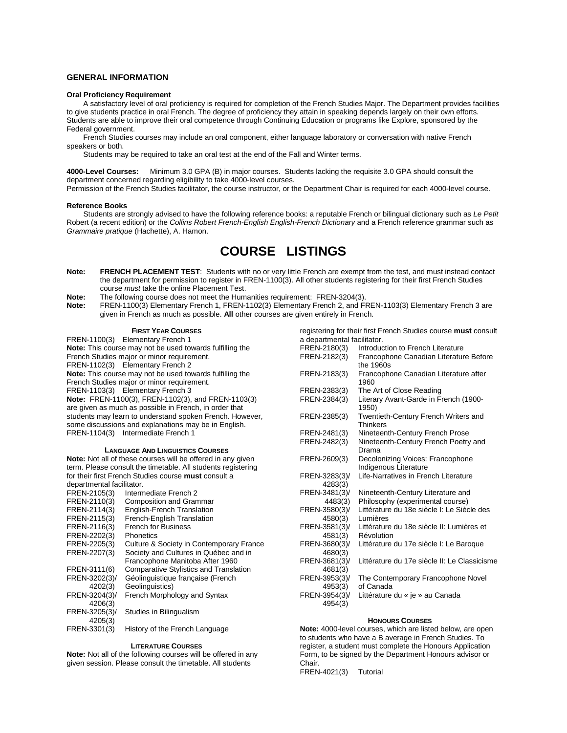## **GENERAL INFORMATION**

#### **Oral Proficiency Requirement**

 A satisfactory level of oral proficiency is required for completion of the French Studies Major. The Department provides facilities to give students practice in oral French. The degree of proficiency they attain in speaking depends largely on their own efforts. Students are able to improve their oral competence through Continuing Education or programs like Explore, sponsored by the Federal government.

French Studies courses may include an oral component, either language laboratory or conversation with native French speakers or both.

Students may be required to take an oral test at the end of the Fall and Winter terms.

**4000-Level Courses:** Minimum 3.0 GPA (B) in major courses. Students lacking the requisite 3.0 GPA should consult the department concerned regarding eligibility to take 4000-level courses.

Permission of the French Studies facilitator, the course instructor, or the Department Chair is required for each 4000-level course.

#### **Reference Books**

Students are strongly advised to have the following reference books: a reputable French or bilingual dictionary such as *Le Petit*  Robert (a recent edition) or the *Collins Robert French-English English-French Dictionary* and a French reference grammar such as *Grammaire pratique* (Hachette), A. Hamon.

# **COURSE LISTINGS**

- **Note: FRENCH PLACEMENT TEST**: Students with no or very little French are exempt from the test, and must instead contact the department for permission to register in FREN-1100(3). All other students registering for their first French Studies course *must* take the online Placement Test.
- **Note:** The following course does not meet the Humanities requirement: FREN-3204(3).<br>**Note:** FREN-1100(3) Elementary French 1, FREN-1102(3) Elementary French 2, and F
- **Note:** FREN-1100(3) Elementary French 1, FREN-1102(3) Elementary French 2, and FREN-1103(3) Elementary French 3 are given in French as much as possible. **All** other courses are given entirely in French.

#### **FIRST YEAR COURSES**

FREN-1100(3) Elementary French 1 **Note:** This course may not be used towards fulfilling the French Studies major or minor requirement. FREN-1102(3) Elementary French 2 **Note:** This course may not be used towards fulfilling the French Studies major or minor requirement. FREN-1103(3) Elementary French 3 **Note:** FREN-1100(3), FREN-1102(3), and FREN-1103(3) are given as much as possible in French, in order that students may learn to understand spoken French. However, some discussions and explanations may be in English. FREN-1104(3) Intermediate French 1

#### **LANGUAGE AND LINGUISTICS COURSES**

**Note:** Not all of these courses will be offered in any given term. Please consult the timetable. All students registering for their first French Studies course **must** consult a departmental facilitator.

| FREN-2105(3)  | Intermediate French 2                    |
|---------------|------------------------------------------|
| FREN-2110(3)  | <b>Composition and Grammar</b>           |
| FREN-2114(3)  | <b>English-French Translation</b>        |
| FREN-2115(3)  | French-English Translation               |
| FREN-2116(3)  | <b>French for Business</b>               |
| FREN-2202(3)  | Phonetics                                |
| FREN-2205(3)  | Culture & Society in Contemporary France |
| FREN-2207(3)  | Society and Cultures in Québec and in    |
|               | Francophone Manitoba After 1960          |
| FREN-3111(6)  | Comparative Stylistics and Translation   |
| FREN-3202(3)/ | Géolinguistique française (French        |
| 4202(3)       | Geolinguistics)                          |
| FREN-3204(3)/ | French Morphology and Syntax             |
| 4206(3)       |                                          |
| FREN-3205(3)/ | Studies in Bilingualism                  |
| 4205(3)       |                                          |
| FREN-3301(3)  | History of the French Language           |
|               |                                          |

#### **LITERATURE COURSES**

**Note:** Not all of the following courses will be offered in any given session. Please consult the timetable. All students

| a departmental facilitator. |                                                           |
|-----------------------------|-----------------------------------------------------------|
| FREN-2180(3)                | Introduction to French Literature                         |
| FREN-2182(3)                | Francophone Canadian Literature Before                    |
|                             | the 1960s                                                 |
| FREN-2183(3)                | Francophone Canadian Literature after<br>1960             |
| FREN-2383(3)                | The Art of Close Reading                                  |
| FREN-2384(3)                | Literary Avant-Garde in French (1900-<br>1950)            |
| FREN-2385(3)                | Twentieth-Century French Writers and<br><b>Thinkers</b>   |
| FREN-2481(3)                | Nineteenth-Century French Prose                           |
| FREN-2482(3)                | Nineteenth-Century French Poetry and<br>Drama             |
| FREN-2609(3)                | Decolonizing Voices: Francophone<br>Indigenous Literature |
| FREN-3283(3)/<br>4283(3)    | Life-Narratives in French Literature                      |
| FREN-3481(3)/               | Nineteenth-Century Literature and                         |
| 4483(3)                     | Philosophy (experimental course)                          |
| FREN-3580(3)/               | Littérature du 18e siècle I: Le Siècle des                |
| 4580(3)                     | Lumières                                                  |
| FREN-3581(3)/               | Littérature du 18e siècle II: Lumières et                 |
| 4581(3)                     | Révolution                                                |
| FREN-3680(3)/               | Littérature du 17e siècle I: Le Baroque                   |
| 4680(3)                     |                                                           |
| FREN-3681(3)/               | Littérature du 17e siècle II: Le Classicisme              |
| 4681(3)                     |                                                           |
| FREN-3953(3)/               | The Contemporary Francophone Novel                        |
| 4953(3)                     | of Canada                                                 |
| FREN-3954(3)/               | Littérature du « je » au Canada                           |
| 4954(3)                     |                                                           |
|                             |                                                           |

registering for their first French Studies course **must** consult

## **HONOURS COURSES**

**Note:** 4000-level courses, which are listed below, are open to students who have a B average in French Studies. To register, a student must complete the Honours Application Form, to be signed by the Department Honours advisor or Chair.

FREN-4021(3) Tutorial